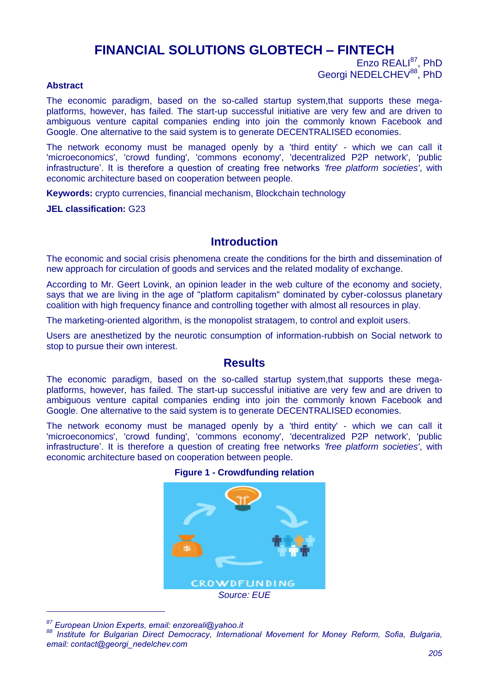# **FINANCIAL SOLUTIONS GLOBTECH – FINTECH**

Enzo REALI<sup>87</sup>, PhD Georgi NEDELCHEV<sup>88</sup>, PhD

#### **Abstract**

The economic paradigm, based on the so-called startup system,that supports these megaplatforms, however, has failed. The start-up successful initiative are very few and are driven to ambiguous venture capital companies ending into join the commonly known Facebook and Google. One alternative to the said system is to generate DECENTRALISED economies.

The network economy must be managed openly by a 'third entity' - which we can call it 'microeconomics', 'crowd funding', 'commons economy', 'decentralized P2P network', 'public infrastructure'. It is therefore a question of creating free networks *'free platform societies'*, with economic architecture based on cooperation between people.

**Keywords:** crypto currencies, financial mechanism, Blockchain technology

**JEL classification:** G23

### **Introduction**

The economic and social crisis phenomena create the conditions for the birth and dissemination of new approach for circulation of goods and services and the related modality of exchange.

According to Mr. Geert Lovink, an opinion leader in the web culture of the economy and society, says that we are living in the age of "platform capitalism" dominated by cyber-colossus planetary coalition with high frequency finance and controlling together with almost all resources in play.

The marketing-oriented algorithm, is the monopolist stratagem, to control and exploit users.

Users are anesthetized by the neurotic consumption of information-rubbish on Social network to stop to pursue their own interest.

### **Results**

The economic paradigm, based on the so-called startup system,that supports these megaplatforms, however, has failed. The start-up successful initiative are very few and are driven to ambiguous venture capital companies ending into join the commonly known Facebook and Google. One alternative to the said system is to generate DECENTRALISED economies.

The network economy must be managed openly by a 'third entity' - which we can call it 'microeconomics', 'crowd funding', 'commons economy', 'decentralized P2P network', 'public infrastructure'. It is therefore a question of creating free networks *'free platform societies'*, with economic architecture based on cooperation between people.

#### **Figure 1 - Crowdfunding relation**



*<sup>87</sup> European Union Experts, email: enzoreali@yahoo.it*

-

*<sup>88</sup> Institute for Bulgarian Direct Democracy, International Movement for Money Reform, Sofia, Bulgaria, email: contact@georgi\_nedelchev.com*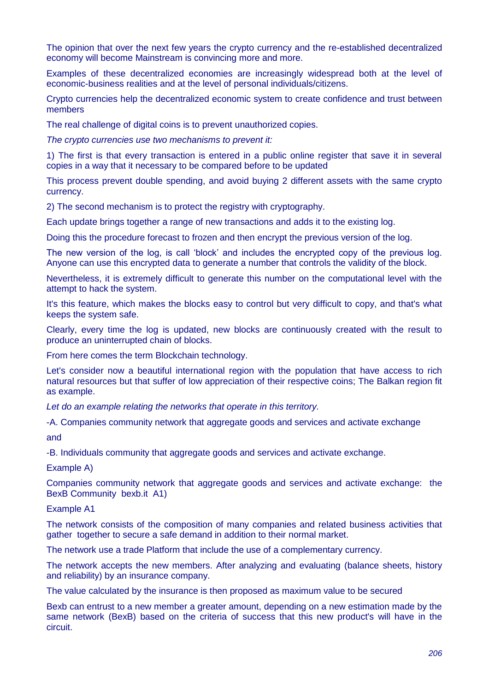The opinion that over the next few years the crypto currency and the re-established decentralized economy will become Mainstream is convincing more and more.

Examples of these decentralized economies are increasingly widespread both at the level of economic-business realities and at the level of personal individuals/citizens.

Crypto currencies help the decentralized economic system to create confidence and trust between members

The real challenge of digital coins is to prevent unauthorized copies.

*The crypto currencies use two mechanisms to prevent it:*

1) The first is that every transaction is entered in a public online register that save it in several copies in a way that it necessary to be compared before to be updated

This process prevent double spending, and avoid buying 2 different assets with the same crypto currency.

2) The second mechanism is to protect the registry with cryptography.

Each update brings together a range of new transactions and adds it to the existing log.

Doing this the procedure forecast to frozen and then encrypt the previous version of the log.

The new version of the log, is call 'block' and includes the encrypted copy of the previous log. Anyone can use this encrypted data to generate a number that controls the validity of the block.

Nevertheless, it is extremely difficult to generate this number on the computational level with the attempt to hack the system.

It's this feature, which makes the blocks easy to control but very difficult to copy, and that's what keeps the system safe.

Clearly, every time the log is updated, new blocks are continuously created with the result to produce an uninterrupted chain of blocks.

From here comes the term Blockchain technology.

Let's consider now a beautiful international region with the population that have access to rich natural resources but that suffer of low appreciation of their respective coins; The Balkan region fit as example.

*Let do an example relating the networks that operate in this territory.*

-A. Companies community network that aggregate goods and services and activate exchange

and

-B. Individuals community that aggregate goods and services and activate exchange.

Example A)

Companies community network that aggregate goods and services and activate exchange: the BexB Community bexb.it A1)

#### Example A1

The network consists of the composition of many companies and related business activities that gather together to secure a safe demand in addition to their normal market.

The network use a trade Platform that include the use of a complementary currency.

The network accepts the new members. After analyzing and evaluating (balance sheets, history and reliability) by an insurance company.

The value calculated by the insurance is then proposed as maximum value to be secured

Bexb can entrust to a new member a greater amount, depending on a new estimation made by the same network (BexB) based on the criteria of success that this new product's will have in the circuit.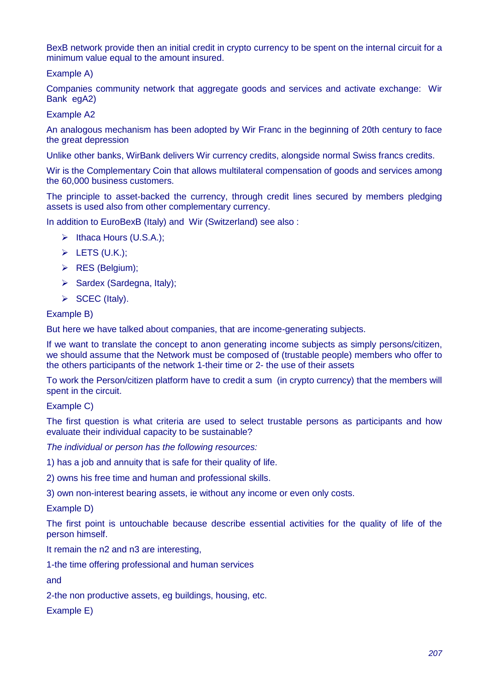BexB network provide then an initial credit in crypto currency to be spent on the internal circuit for a minimum value equal to the amount insured.

Example A)

Companies community network that aggregate goods and services and activate exchange: Wir Bank egA2)

Example A2

An analogous mechanism has been adopted by Wir Franc in the beginning of 20th century to face the great depression

Unlike other banks, WirBank delivers Wir currency credits, alongside normal Swiss francs credits.

Wir is the Complementary Coin that allows multilateral compensation of goods and services among the 60,000 business customers.

The principle to asset-backed the currency, through credit lines secured by members pledging assets is used also from other complementary currency.

In addition to EuroBexB (Italy) and Wir (Switzerland) see also :

- $\triangleright$  Ithaca Hours (U.S.A.);
- $\triangleright$  LETS (U.K.);
- $\triangleright$  RES (Belgium);
- $\triangleright$  Sardex (Sardegna, Italy);
- $\triangleright$  SCEC (Italy).

#### Example B)

But here we have talked about companies, that are income-generating subjects.

If we want to translate the concept to anon generating income subjects as simply persons/citizen, we should assume that the Network must be composed of (trustable people) members who offer to the others participants of the network 1-their time or 2- the use of their assets

To work the Person/citizen platform have to credit a sum (in crypto currency) that the members will spent in the circuit.

Example C)

The first question is what criteria are used to select trustable persons as participants and how evaluate their individual capacity to be sustainable?

*The individual or person has the following resources:*

1) has a job and annuity that is safe for their quality of life.

2) owns his free time and human and professional skills.

3) own non-interest bearing assets, ie without any income or even only costs.

Example D)

The first point is untouchable because describe essential activities for the quality of life of the person himself.

It remain the n2 and n3 are interesting,

1-the time offering professional and human services

and

2-the non productive assets, eg buildings, housing, etc.

Example E)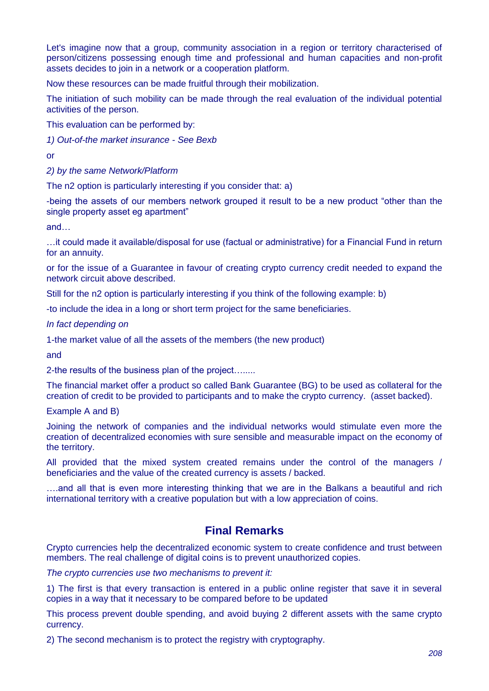Let's imagine now that a group, community association in a region or territory characterised of person/citizens possessing enough time and professional and human capacities and non-profit assets decides to join in a network or a cooperation platform.

Now these resources can be made fruitful through their mobilization.

The initiation of such mobility can be made through the real evaluation of the individual potential activities of the person.

This evaluation can be performed by:

*1) Out-of-the market insurance - See Bexb*

or

*2) by the same Network/Platform*

The n2 option is particularly interesting if you consider that: a)

-being the assets of our members network grouped it result to be a new product "other than the single property asset eg apartment"

and…

…it could made it available/disposal for use (factual or administrative) for a Financial Fund in return for an annuity.

or for the issue of a Guarantee in favour of creating crypto currency credit needed to expand the network circuit above described.

Still for the n2 option is particularly interesting if you think of the following example: b)

-to include the idea in a long or short term project for the same beneficiaries.

*In fact depending on* 

1-the market value of all the assets of the members (the new product)

and

2-the results of the business plan of the project….....

The financial market offer a product so called Bank Guarantee (BG) to be used as collateral for the creation of credit to be provided to participants and to make the crypto currency. (asset backed).

Example A and B)

Joining the network of companies and the individual networks would stimulate even more the creation of decentralized economies with sure sensible and measurable impact on the economy of the territory.

All provided that the mixed system created remains under the control of the managers / beneficiaries and the value of the created currency is assets / backed.

….and all that is even more interesting thinking that we are in the Balkans a beautiful and rich international territory with a creative population but with a low appreciation of coins.

### **Final Remarks**

Crypto currencies help the decentralized economic system to create confidence and trust between members. The real challenge of digital coins is to prevent unauthorized copies.

*The crypto currencies use two mechanisms to prevent it:*

1) The first is that every transaction is entered in a public online register that save it in several copies in a way that it necessary to be compared before to be updated

This process prevent double spending, and avoid buying 2 different assets with the same crypto currency.

2) The second mechanism is to protect the registry with cryptography.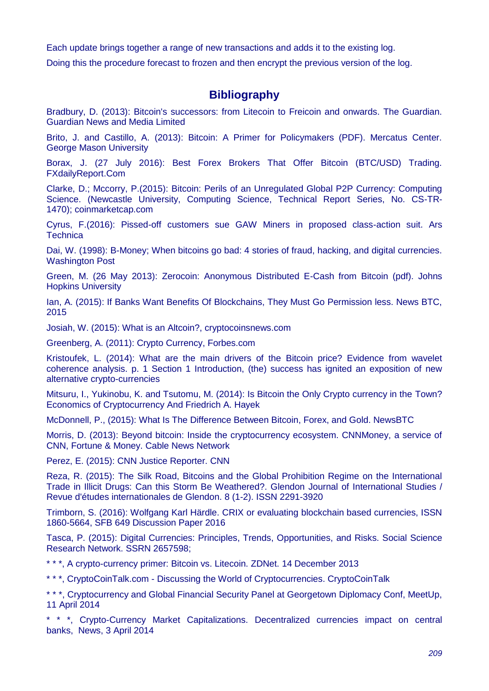Each update brings together a range of new transactions and adds it to the existing log.

Doing this the procedure forecast to frozen and then encrypt the previous version of the log.

## **Bibliography**

Bradbury, D. (2013): Bitcoin's successors: from Litecoin to Freicoin and onwards. The Guardian. Guardian News and Media Limited

Brito, J. and Castillo, A. (2013): Bitcoin: A Primer for Policymakers (PDF). Mercatus Center. George Mason University

Borax, J. (27 July 2016): Best Forex Brokers That Offer Bitcoin (BTC/USD) Trading. FXdailyReport.Com

Clarke, D.; Mccorry, P.(2015): Bitcoin: Perils of an Unregulated Global P2P Currency: Computing Science. (Newcastle University, Computing Science, Technical Report Series, No. CS-TR-1470); coinmarketcap.com

Cyrus, F.(2016): Pissed-off customers sue GAW Miners in proposed class-action suit. Ars **Technica** 

Dai, W. (1998): B-Money; When bitcoins go bad: 4 stories of fraud, hacking, and digital currencies. Washington Post

Green, M. (26 May 2013): Zerocoin: Anonymous Distributed E-Cash from Bitcoin (pdf). Johns Hopkins University

Ian, A. (2015): If Banks Want Benefits Of Blockchains, They Must Go Permission less. News BTC, 2015

Josiah, W. (2015): What is an Altcoin?, cryptocoinsnews.com

Greenberg, A. (2011): Crypto Currency, Forbes.com

Kristoufek, L. (2014): What are the main drivers of the Bitcoin price? Evidence from wavelet coherence analysis. p. 1 Section 1 Introduction, (the) success has ignited an exposition of new alternative crypto-currencies

Mitsuru, I., Yukinobu, K. and Tsutomu, M. (2014): Is Bitcoin the Only Crypto currency in the Town? Economics of Cryptocurrency And Friedrich A. Hayek

McDonnell, P., (2015): What Is The Difference Between Bitcoin, Forex, and Gold. NewsBTC

Morris, D. (2013): Beyond bitcoin: Inside the cryptocurrency ecosystem. CNNMoney, a service of CNN, Fortune & Money. Cable News Network

Perez, E. (2015): CNN Justice Reporter. CNN

Reza, R. (2015): The Silk Road, Bitcoins and the Global Prohibition Regime on the International Trade in Illicit Drugs: Can this Storm Be Weathered?. Glendon Journal of International Studies / Revue d'études internationales de Glendon. 8 (1-2). ISSN 2291-3920

Trimborn, S. (2016): Wolfgang Karl Härdle. CRIX or evaluating blockchain based currencies, ISSN 1860-5664, SFB 649 Discussion Paper 2016

Tasca, P. (2015): Digital Currencies: Principles, Trends, Opportunities, and Risks. Social Science Research Network. SSRN 2657598;

\* \* \*, A crypto-currency primer: Bitcoin vs. Litecoin. ZDNet. 14 December 2013

\* \* \*, CryptoCoinTalk.com - Discussing the World of Cryptocurrencies. CryptoCoinTalk

\* \* \*, Cryptocurrency and Global Financial Security Panel at Georgetown Diplomacy Conf, MeetUp, 11 April 2014

\* \* \*, Crypto-Currency Market Capitalizations. Decentralized currencies impact on central banks, News, 3 April 2014